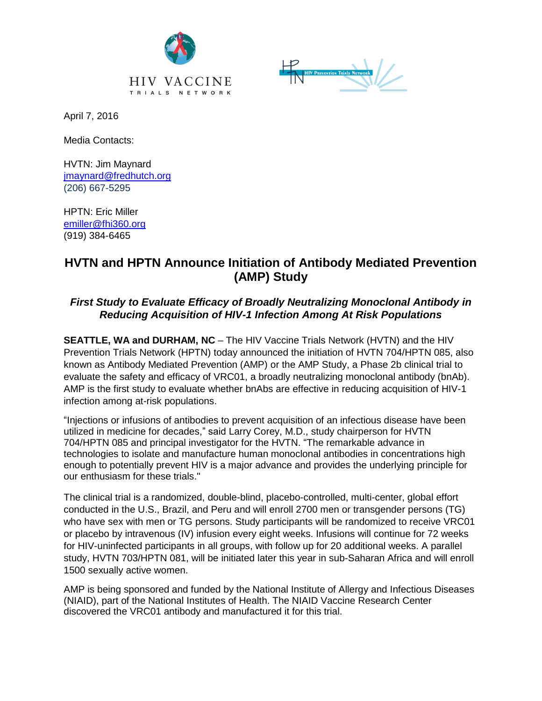



April 7, 2016

Media Contacts:

HVTN: Jim Maynard [jmaynard@fredhutch.org](mailto:jmaynard@fredhutch.org) (206) 667-5295

HPTN: Eric Miller [emiller@fhi360.org](mailto:emiller@fhi360.org) (919) 384-6465

## **HVTN and HPTN Announce Initiation of Antibody Mediated Prevention (AMP) Study**

## *First Study to Evaluate Efficacy of Broadly Neutralizing Monoclonal Antibody in Reducing Acquisition of HIV-1 Infection Among At Risk Populations*

**SEATTLE, WA and DURHAM, NC** – The HIV Vaccine Trials Network (HVTN) and the HIV Prevention Trials Network (HPTN) today announced the initiation of HVTN 704/HPTN 085, also known as Antibody Mediated Prevention (AMP) or the AMP Study, a Phase 2b clinical trial to evaluate the safety and efficacy of VRC01, a broadly neutralizing monoclonal antibody (bnAb). AMP is the first study to evaluate whether bnAbs are effective in reducing acquisition of HIV-1 infection among at-risk populations.

"Injections or infusions of antibodies to prevent acquisition of an infectious disease have been utilized in medicine for decades," said Larry Corey, M.D., study chairperson for HVTN 704/HPTN 085 and principal investigator for the HVTN. "The remarkable advance in technologies to isolate and manufacture human monoclonal antibodies in concentrations high enough to potentially prevent HIV is a major advance and provides the underlying principle for our enthusiasm for these trials."

The clinical trial is a randomized, double-blind, placebo-controlled, multi-center, global effort conducted in the U.S., Brazil, and Peru and will enroll 2700 men or transgender persons (TG) who have sex with men or TG persons. Study participants will be randomized to receive VRC01 or placebo by intravenous (IV) infusion every eight weeks. Infusions will continue for 72 weeks for HIV-uninfected participants in all groups, with follow up for 20 additional weeks. A parallel study, HVTN 703/HPTN 081, will be initiated later this year in sub-Saharan Africa and will enroll 1500 sexually active women.

AMP is being sponsored and funded by the National Institute of Allergy and Infectious Diseases (NIAID), part of the National Institutes of Health. The NIAID Vaccine Research Center discovered the VRC01 antibody and manufactured it for this trial.